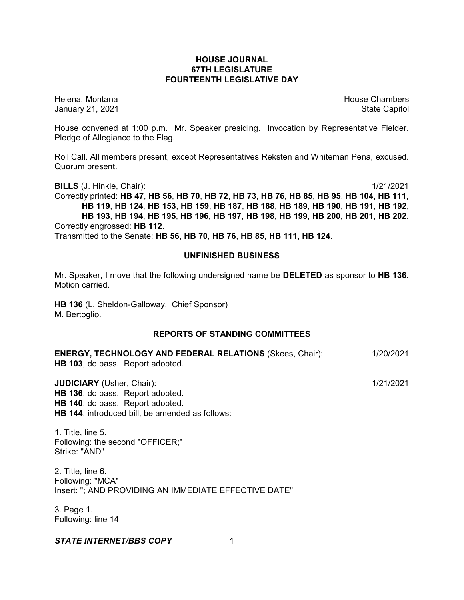## **HOUSE JOURNAL 67TH LEGISLATURE FOURTEENTH LEGISLATIVE DAY**

Helena, Montana House Chambers Chambers Chambers and House Chambers Chambers Chambers Chambers and House Chambers and House Chambers and House Chambers and House Chambers and House Chambers and House Chambers and House Cha January 21, 2021 **State Capitol** 

House convened at 1:00 p.m. Mr. Speaker presiding. Invocation by Representative Fielder. Pledge of Allegiance to the Flag.

Roll Call. All members present, except Representatives Reksten and Whiteman Pena, excused. Quorum present.

**BILLS** (J. Hinkle, Chair): 1/21/2021

Correctly printed: HB 47, HB 56, HB 70, HB 72, HB 73, HB 76, HB 85, HB 95, HB 104, HB 111, **HB 119**, **HB 124**, **HB 153**, **HB 159**, **HB 187**, **HB 188**, **HB 189**, **HB 190**, **HB 191**, **HB 192**, **HB 193**, **HB 194**, **HB 195**, **HB 196**, **HB 197**, **HB 198**, **HB 199**, **HB 200**, **HB 201**, **HB 202**. Correctly engrossed: **HB 112**.

Transmitted to the Senate: **HB 56**, **HB 70**, **HB 76**, **HB 85**, **HB 111**, **HB 124**.

#### **UNFINISHED BUSINESS**

Mr. Speaker, I move that the following undersigned name be **DELETED** as sponsor to **HB 136**. Motion carried.

**HB 136** (L. Sheldon-Galloway, Chief Sponsor) M. Bertoglio.

## **REPORTS OF STANDING COMMITTEES**

| <b>ENERGY, TECHNOLOGY AND FEDERAL RELATIONS (Skees, Chair):</b> | 1/20/2021 |
|-----------------------------------------------------------------|-----------|
| <b>HB 103</b> , do pass. Report adopted.                        |           |

**JUDICIARY** (Usher, Chair): 1/21/2021 **HB 136**, do pass. Report adopted. **HB 140**, do pass. Report adopted. **HB 144**, introduced bill, be amended as follows:

1. Title, line 5. Following: the second "OFFICER;" Strike: "AND"

2. Title, line 6. Following: "MCA" Insert: "; AND PROVIDING AN IMMEDIATE EFFECTIVE DATE"

3. Page 1. Following: line 14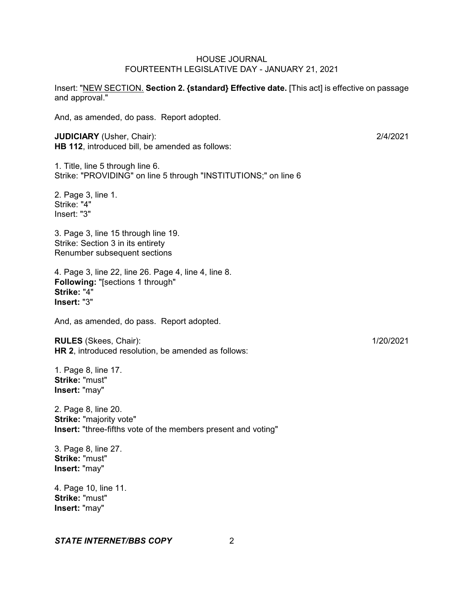Insert: "NEW SECTION. **Section 2. {standard} Effective date.** [This act] is effective on passage and approval."

And, as amended, do pass. Report adopted.

**JUDICIARY** (Usher, Chair): 2/4/2021 **HB 112**, introduced bill, be amended as follows:

1. Title, line 5 through line 6. Strike: "PROVIDING" on line 5 through "INSTITUTIONS;" on line 6

2. Page 3, line 1. Strike: "4" Insert: "3"

3. Page 3, line 15 through line 19. Strike: Section 3 in its entirety Renumber subsequent sections

4. Page 3, line 22, line 26. Page 4, line 4, line 8. **Following:** "[sections 1 through" **Strike:** "4" **Insert:** "3"

And, as amended, do pass. Report adopted.

**RULES** (Skees, Chair): 1/20/2021 **HR 2**, introduced resolution, be amended as follows:

1. Page 8, line 17. **Strike:** "must" **Insert:** "may"

2. Page 8, line 20. **Strike:** "majority vote" **Insert:** "three-fifths vote of the members present and voting"

3. Page 8, line 27. **Strike:** "must" **Insert:** "may"

4. Page 10, line 11. **Strike:** "must" **Insert:** "may"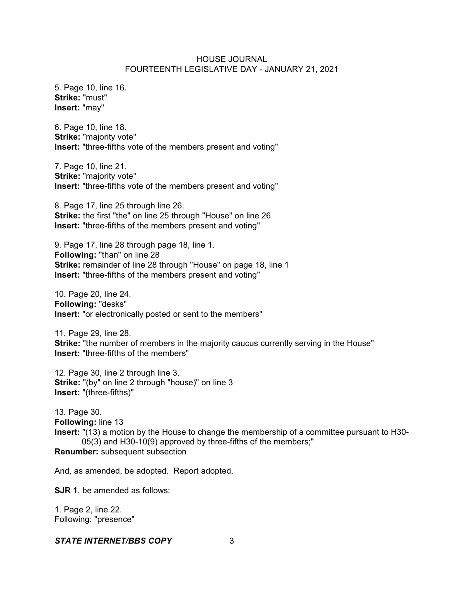5. Page 10, line 16. **Strike:** "must" **Insert:** "may"

6. Page 10, line 18. **Strike:** "majority vote" **Insert:** "three-fifths vote of the members present and voting"

7. Page 10, line 21. **Strike:** "majority vote" **Insert:** "three-fifths vote of the members present and voting"

8. Page 17, line 25 through line 26. **Strike:** the first "the" on line 25 through "House" on line 26 **Insert:** "three-fifths of the members present and voting"

9. Page 17, line 28 through page 18, line 1. **Following:** "than" on line 28 **Strike:** remainder of line 28 through "House" on page 18, line 1 **Insert:** "three-fifths of the members present and voting"

10. Page 20, line 24. **Following:** "desks" **Insert:** "or electronically posted or sent to the members"

11. Page 29, line 28. **Strike:** "the number of members in the majority caucus currently serving in the House" **Insert:** "three-fifths of the members"

12. Page 30, line 2 through line 3. **Strike:** "(by" on line 2 through "house)" on line 3 **Insert:** "(three-fifths)"

13. Page 30. **Following:** line 13 **Insert:** "(13) a motion by the House to change the membership of a committee pursuant to H30- 05(3) and H30-10(9) approved by three-fifths of the members;" **Renumber:** subsequent subsection

And, as amended, be adopted. Report adopted.

**SJR 1**, be amended as follows:

1. Page 2, line 22. Following: "presence"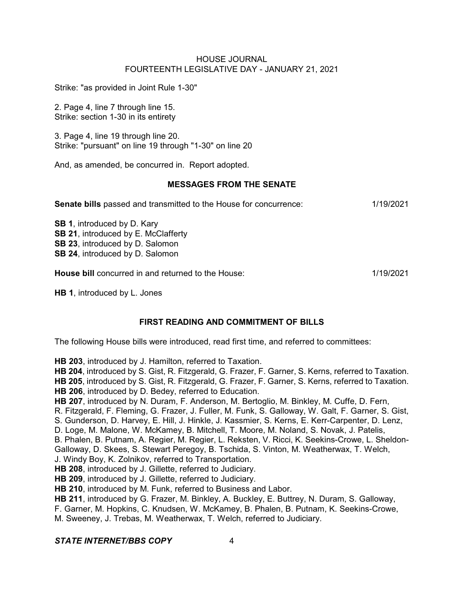Strike: "as provided in Joint Rule 1-30"

2. Page 4, line 7 through line 15. Strike: section 1-30 in its entirety

3. Page 4, line 19 through line 20. Strike: "pursuant" on line 19 through "1-30" on line 20

And, as amended, be concurred in. Report adopted.

### **MESSAGES FROM THE SENATE**

**Senate bills** passed and transmitted to the House for concurrence: 1/19/2021

**SB 1**, introduced by D. Kary **SB 21**, introduced by E. McClafferty **SB 23**, introduced by D. Salomon **SB 24**, introduced by D. Salomon

**House bill** concurred in and returned to the House: 1/19/2021

**HB 1**, introduced by L. Jones

# **FIRST READING AND COMMITMENT OF BILLS**

The following House bills were introduced, read first time, and referred to committees:

**HB 203**, introduced by J. Hamilton, referred to Taxation.

**HB 204**, introduced by S. Gist, R. Fitzgerald, G. Frazer, F. Garner, S. Kerns, referred to Taxation. **HB 205**, introduced by S. Gist, R. Fitzgerald, G. Frazer, F. Garner, S. Kerns, referred to Taxation. **HB 206**, introduced by D. Bedey, referred to Education.

**HB 207**, introduced by N. Duram, F. Anderson, M. Bertoglio, M. Binkley, M. Cuffe, D. Fern,

R. Fitzgerald, F. Fleming, G. Frazer, J. Fuller, M. Funk, S. Galloway, W. Galt, F. Garner, S. Gist,

S. Gunderson, D. Harvey, E. Hill, J. Hinkle, J. Kassmier, S. Kerns, E. Kerr-Carpenter, D. Lenz,

D. Loge, M. Malone, W. McKamey, B. Mitchell, T. Moore, M. Noland, S. Novak, J. Patelis,

B. Phalen, B. Putnam, A. Regier, M. Regier, L. Reksten, V. Ricci, K. Seekins-Crowe, L. Sheldon-Galloway, D. Skees, S. Stewart Peregoy, B. Tschida, S. Vinton, M. Weatherwax, T. Welch,

J. Windy Boy, K. Zolnikov, referred to Transportation.

**HB 208**, introduced by J. Gillette, referred to Judiciary.

**HB 209**, introduced by J. Gillette, referred to Judiciary.

**HB 210**, introduced by M. Funk, referred to Business and Labor.

**HB 211**, introduced by G. Frazer, M. Binkley, A. Buckley, E. Buttrey, N. Duram, S. Galloway,

F. Garner, M. Hopkins, C. Knudsen, W. McKamey, B. Phalen, B. Putnam, K. Seekins-Crowe,

M. Sweeney, J. Trebas, M. Weatherwax, T. Welch, referred to Judiciary.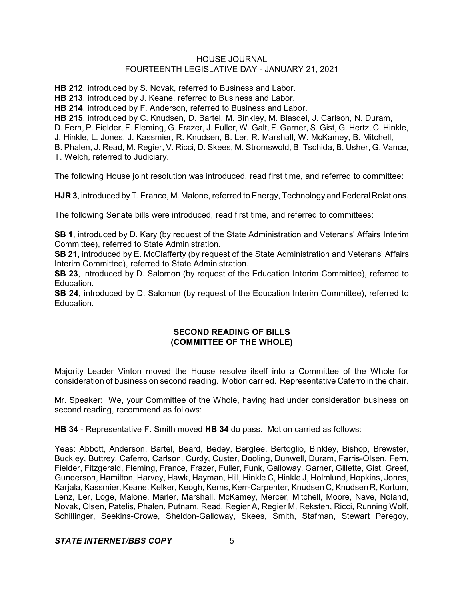**HB 212**, introduced by S. Novak, referred to Business and Labor.

**HB 213**, introduced by J. Keane, referred to Business and Labor.

**HB 214**, introduced by F. Anderson, referred to Business and Labor.

**HB 215**, introduced by C. Knudsen, D. Bartel, M. Binkley, M. Blasdel, J. Carlson, N. Duram,

D. Fern, P. Fielder, F. Fleming, G. Frazer, J. Fuller, W. Galt, F. Garner, S. Gist, G. Hertz, C. Hinkle,

J. Hinkle, L. Jones, J. Kassmier, R. Knudsen, B. Ler, R. Marshall, W. McKamey, B. Mitchell,

B. Phalen, J. Read, M. Regier, V. Ricci, D. Skees, M. Stromswold, B. Tschida, B. Usher, G. Vance, T. Welch, referred to Judiciary.

The following House joint resolution was introduced, read first time, and referred to committee:

**HJR 3**, introduced by T. France, M. Malone, referred to Energy, Technology and Federal Relations.

The following Senate bills were introduced, read first time, and referred to committees:

**SB 1**, introduced by D. Kary (by request of the State Administration and Veterans' Affairs Interim Committee), referred to State Administration.

**SB 21**, introduced by E. McClafferty (by request of the State Administration and Veterans' Affairs Interim Committee), referred to State Administration.

**SB 23**, introduced by D. Salomon (by request of the Education Interim Committee), referred to Education.

**SB 24**, introduced by D. Salomon (by request of the Education Interim Committee), referred to Education.

# **SECOND READING OF BILLS (COMMITTEE OF THE WHOLE)**

Majority Leader Vinton moved the House resolve itself into a Committee of the Whole for consideration of business on second reading. Motion carried. Representative Caferro in the chair.

Mr. Speaker: We, your Committee of the Whole, having had under consideration business on second reading, recommend as follows:

**HB 34** - Representative F. Smith moved **HB 34** do pass. Motion carried as follows:

Yeas: Abbott, Anderson, Bartel, Beard, Bedey, Berglee, Bertoglio, Binkley, Bishop, Brewster, Buckley, Buttrey, Caferro, Carlson, Curdy, Custer, Dooling, Dunwell, Duram, Farris-Olsen, Fern, Fielder, Fitzgerald, Fleming, France, Frazer, Fuller, Funk, Galloway, Garner, Gillette, Gist, Greef, Gunderson, Hamilton, Harvey, Hawk, Hayman, Hill, Hinkle C, Hinkle J, Holmlund, Hopkins, Jones, Karjala, Kassmier, Keane, Kelker, Keogh, Kerns, Kerr-Carpenter, Knudsen C, Knudsen R, Kortum, Lenz, Ler, Loge, Malone, Marler, Marshall, McKamey, Mercer, Mitchell, Moore, Nave, Noland, Novak, Olsen, Patelis, Phalen, Putnam, Read, Regier A, Regier M, Reksten, Ricci, Running Wolf, Schillinger, Seekins-Crowe, Sheldon-Galloway, Skees, Smith, Stafman, Stewart Peregoy,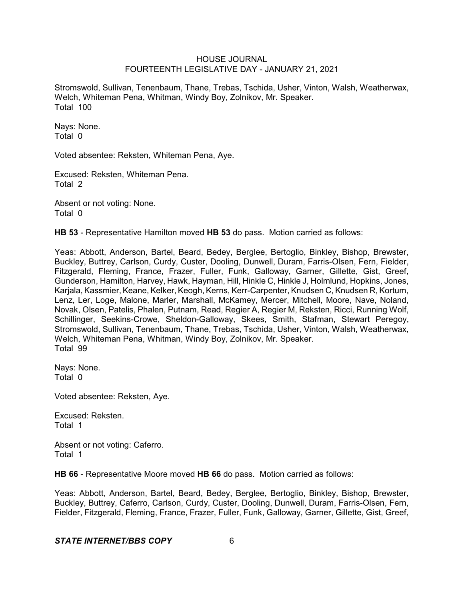Stromswold, Sullivan, Tenenbaum, Thane, Trebas, Tschida, Usher, Vinton, Walsh, Weatherwax, Welch, Whiteman Pena, Whitman, Windy Boy, Zolnikov, Mr. Speaker. Total 100

Nays: None. Total 0

Voted absentee: Reksten, Whiteman Pena, Aye.

Excused: Reksten, Whiteman Pena. Total 2

Absent or not voting: None. Total 0

**HB 53** - Representative Hamilton moved **HB 53** do pass. Motion carried as follows:

Yeas: Abbott, Anderson, Bartel, Beard, Bedey, Berglee, Bertoglio, Binkley, Bishop, Brewster, Buckley, Buttrey, Carlson, Curdy, Custer, Dooling, Dunwell, Duram, Farris-Olsen, Fern, Fielder, Fitzgerald, Fleming, France, Frazer, Fuller, Funk, Galloway, Garner, Gillette, Gist, Greef, Gunderson, Hamilton, Harvey, Hawk, Hayman, Hill, Hinkle C, Hinkle J, Holmlund, Hopkins, Jones, Karjala, Kassmier, Keane, Kelker, Keogh, Kerns, Kerr-Carpenter, Knudsen C, Knudsen R, Kortum, Lenz, Ler, Loge, Malone, Marler, Marshall, McKamey, Mercer, Mitchell, Moore, Nave, Noland, Novak, Olsen, Patelis, Phalen, Putnam, Read, Regier A, Regier M, Reksten, Ricci, Running Wolf, Schillinger, Seekins-Crowe, Sheldon-Galloway, Skees, Smith, Stafman, Stewart Peregoy, Stromswold, Sullivan, Tenenbaum, Thane, Trebas, Tschida, Usher, Vinton, Walsh, Weatherwax, Welch, Whiteman Pena, Whitman, Windy Boy, Zolnikov, Mr. Speaker. Total 99

Nays: None. Total 0

Voted absentee: Reksten, Aye.

Excused: Reksten. Total 1

Absent or not voting: Caferro. Total 1

**HB 66** - Representative Moore moved **HB 66** do pass. Motion carried as follows:

Yeas: Abbott, Anderson, Bartel, Beard, Bedey, Berglee, Bertoglio, Binkley, Bishop, Brewster, Buckley, Buttrey, Caferro, Carlson, Curdy, Custer, Dooling, Dunwell, Duram, Farris-Olsen, Fern, Fielder, Fitzgerald, Fleming, France, Frazer, Fuller, Funk, Galloway, Garner, Gillette, Gist, Greef,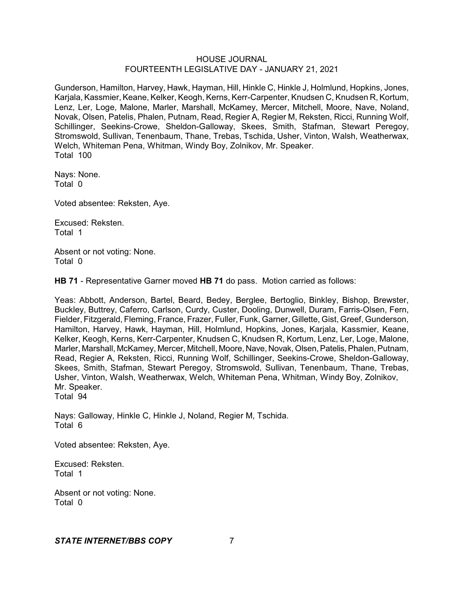Gunderson, Hamilton, Harvey, Hawk, Hayman, Hill, Hinkle C, Hinkle J, Holmlund, Hopkins, Jones, Karjala, Kassmier, Keane, Kelker, Keogh, Kerns, Kerr-Carpenter, Knudsen C, Knudsen R, Kortum, Lenz, Ler, Loge, Malone, Marler, Marshall, McKamey, Mercer, Mitchell, Moore, Nave, Noland, Novak, Olsen, Patelis, Phalen, Putnam, Read, Regier A, Regier M, Reksten, Ricci, Running Wolf, Schillinger, Seekins-Crowe, Sheldon-Galloway, Skees, Smith, Stafman, Stewart Peregoy, Stromswold, Sullivan, Tenenbaum, Thane, Trebas, Tschida, Usher, Vinton, Walsh, Weatherwax, Welch, Whiteman Pena, Whitman, Windy Boy, Zolnikov, Mr. Speaker. Total 100

Nays: None. Total 0

Voted absentee: Reksten, Aye.

Excused: Reksten. Total 1

Absent or not voting: None. Total 0

**HB 71** - Representative Garner moved **HB 71** do pass. Motion carried as follows:

Yeas: Abbott, Anderson, Bartel, Beard, Bedey, Berglee, Bertoglio, Binkley, Bishop, Brewster, Buckley, Buttrey, Caferro, Carlson, Curdy, Custer, Dooling, Dunwell, Duram, Farris-Olsen, Fern, Fielder, Fitzgerald, Fleming, France, Frazer, Fuller, Funk, Garner, Gillette, Gist, Greef, Gunderson, Hamilton, Harvey, Hawk, Hayman, Hill, Holmlund, Hopkins, Jones, Karjala, Kassmier, Keane, Kelker, Keogh, Kerns, Kerr-Carpenter, Knudsen C, Knudsen R, Kortum, Lenz, Ler, Loge, Malone, Marler, Marshall, McKamey, Mercer, Mitchell, Moore, Nave, Novak, Olsen, Patelis, Phalen, Putnam, Read, Regier A, Reksten, Ricci, Running Wolf, Schillinger, Seekins-Crowe, Sheldon-Galloway, Skees, Smith, Stafman, Stewart Peregoy, Stromswold, Sullivan, Tenenbaum, Thane, Trebas, Usher, Vinton, Walsh, Weatherwax, Welch, Whiteman Pena, Whitman, Windy Boy, Zolnikov, Mr. Speaker. Total 94

Nays: Galloway, Hinkle C, Hinkle J, Noland, Regier M, Tschida. Total 6

Voted absentee: Reksten, Aye.

Excused: Reksten. Total 1

Absent or not voting: None. Total 0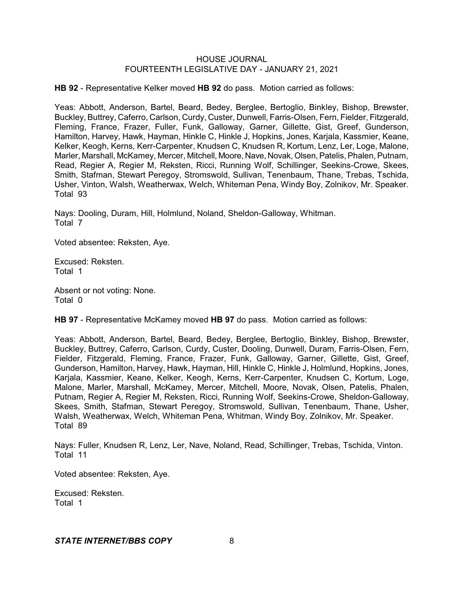**HB 92** - Representative Kelker moved **HB 92** do pass. Motion carried as follows:

Yeas: Abbott, Anderson, Bartel, Beard, Bedey, Berglee, Bertoglio, Binkley, Bishop, Brewster, Buckley, Buttrey, Caferro, Carlson, Curdy, Custer, Dunwell, Farris-Olsen, Fern, Fielder, Fitzgerald, Fleming, France, Frazer, Fuller, Funk, Galloway, Garner, Gillette, Gist, Greef, Gunderson, Hamilton, Harvey, Hawk, Hayman, Hinkle C, Hinkle J, Hopkins, Jones, Karjala, Kassmier, Keane, Kelker, Keogh, Kerns, Kerr-Carpenter, Knudsen C, Knudsen R, Kortum, Lenz, Ler, Loge, Malone, Marler, Marshall, McKamey, Mercer, Mitchell, Moore, Nave, Novak, Olsen, Patelis, Phalen, Putnam, Read, Regier A, Regier M, Reksten, Ricci, Running Wolf, Schillinger, Seekins-Crowe, Skees, Smith, Stafman, Stewart Peregoy, Stromswold, Sullivan, Tenenbaum, Thane, Trebas, Tschida, Usher, Vinton, Walsh, Weatherwax, Welch, Whiteman Pena, Windy Boy, Zolnikov, Mr. Speaker. Total 93

Nays: Dooling, Duram, Hill, Holmlund, Noland, Sheldon-Galloway, Whitman. Total 7

Voted absentee: Reksten, Aye.

Excused: Reksten. Total 1

Absent or not voting: None. Total 0

**HB 97** - Representative McKamey moved **HB 97** do pass. Motion carried as follows:

Yeas: Abbott, Anderson, Bartel, Beard, Bedey, Berglee, Bertoglio, Binkley, Bishop, Brewster, Buckley, Buttrey, Caferro, Carlson, Curdy, Custer, Dooling, Dunwell, Duram, Farris-Olsen, Fern, Fielder, Fitzgerald, Fleming, France, Frazer, Funk, Galloway, Garner, Gillette, Gist, Greef, Gunderson, Hamilton, Harvey, Hawk, Hayman, Hill, Hinkle C, Hinkle J, Holmlund, Hopkins, Jones, Karjala, Kassmier, Keane, Kelker, Keogh, Kerns, Kerr-Carpenter, Knudsen C, Kortum, Loge, Malone, Marler, Marshall, McKamey, Mercer, Mitchell, Moore, Novak, Olsen, Patelis, Phalen, Putnam, Regier A, Regier M, Reksten, Ricci, Running Wolf, Seekins-Crowe, Sheldon-Galloway, Skees, Smith, Stafman, Stewart Peregoy, Stromswold, Sullivan, Tenenbaum, Thane, Usher, Walsh, Weatherwax, Welch, Whiteman Pena, Whitman, Windy Boy, Zolnikov, Mr. Speaker. Total 89

Nays: Fuller, Knudsen R, Lenz, Ler, Nave, Noland, Read, Schillinger, Trebas, Tschida, Vinton. Total 11

Voted absentee: Reksten, Aye.

Excused: Reksten. Total 1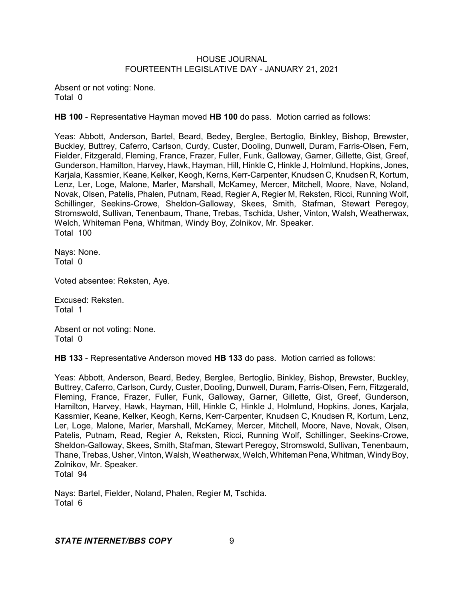Absent or not voting: None. Total 0

**HB 100** - Representative Hayman moved **HB 100** do pass. Motion carried as follows:

Yeas: Abbott, Anderson, Bartel, Beard, Bedey, Berglee, Bertoglio, Binkley, Bishop, Brewster, Buckley, Buttrey, Caferro, Carlson, Curdy, Custer, Dooling, Dunwell, Duram, Farris-Olsen, Fern, Fielder, Fitzgerald, Fleming, France, Frazer, Fuller, Funk, Galloway, Garner, Gillette, Gist, Greef, Gunderson, Hamilton, Harvey, Hawk, Hayman, Hill, Hinkle C, Hinkle J, Holmlund, Hopkins, Jones, Karjala, Kassmier, Keane, Kelker, Keogh, Kerns, Kerr-Carpenter, Knudsen C, Knudsen R, Kortum, Lenz, Ler, Loge, Malone, Marler, Marshall, McKamey, Mercer, Mitchell, Moore, Nave, Noland, Novak, Olsen, Patelis, Phalen, Putnam, Read, Regier A, Regier M, Reksten, Ricci, Running Wolf, Schillinger, Seekins-Crowe, Sheldon-Galloway, Skees, Smith, Stafman, Stewart Peregoy, Stromswold, Sullivan, Tenenbaum, Thane, Trebas, Tschida, Usher, Vinton, Walsh, Weatherwax, Welch, Whiteman Pena, Whitman, Windy Boy, Zolnikov, Mr. Speaker. Total 100

Nays: None. Total 0

Voted absentee: Reksten, Aye.

Excused: Reksten. Total 1

Absent or not voting: None. Total 0

**HB 133** - Representative Anderson moved **HB 133** do pass. Motion carried as follows:

Yeas: Abbott, Anderson, Beard, Bedey, Berglee, Bertoglio, Binkley, Bishop, Brewster, Buckley, Buttrey, Caferro, Carlson, Curdy, Custer, Dooling, Dunwell, Duram, Farris-Olsen, Fern, Fitzgerald, Fleming, France, Frazer, Fuller, Funk, Galloway, Garner, Gillette, Gist, Greef, Gunderson, Hamilton, Harvey, Hawk, Hayman, Hill, Hinkle C, Hinkle J, Holmlund, Hopkins, Jones, Karjala, Kassmier, Keane, Kelker, Keogh, Kerns, Kerr-Carpenter, Knudsen C, Knudsen R, Kortum, Lenz, Ler, Loge, Malone, Marler, Marshall, McKamey, Mercer, Mitchell, Moore, Nave, Novak, Olsen, Patelis, Putnam, Read, Regier A, Reksten, Ricci, Running Wolf, Schillinger, Seekins-Crowe, Sheldon-Galloway, Skees, Smith, Stafman, Stewart Peregoy, Stromswold, Sullivan, Tenenbaum, Thane, Trebas, Usher,Vinton, Walsh, Weatherwax, Welch,WhitemanPena,Whitman,WindyBoy, Zolnikov, Mr. Speaker. Total 94

Nays: Bartel, Fielder, Noland, Phalen, Regier M, Tschida. Total 6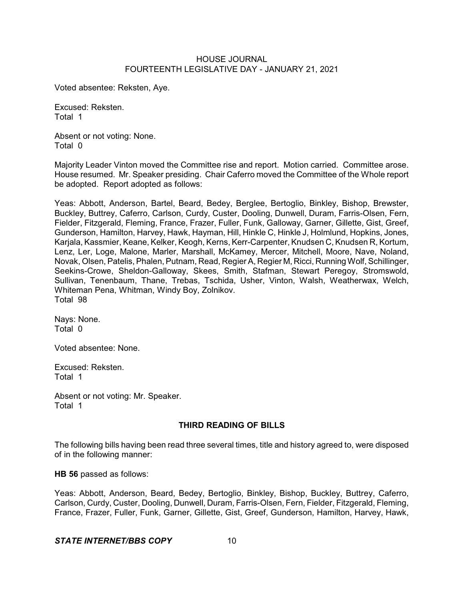Voted absentee: Reksten, Aye.

Excused: Reksten. Total 1

Absent or not voting: None. Total 0

Majority Leader Vinton moved the Committee rise and report. Motion carried. Committee arose. House resumed. Mr. Speaker presiding. Chair Caferro moved the Committee of the Whole report be adopted. Report adopted as follows:

Yeas: Abbott, Anderson, Bartel, Beard, Bedey, Berglee, Bertoglio, Binkley, Bishop, Brewster, Buckley, Buttrey, Caferro, Carlson, Curdy, Custer, Dooling, Dunwell, Duram, Farris-Olsen, Fern, Fielder, Fitzgerald, Fleming, France, Frazer, Fuller, Funk, Galloway, Garner, Gillette, Gist, Greef, Gunderson, Hamilton, Harvey, Hawk, Hayman, Hill, Hinkle C, Hinkle J, Holmlund, Hopkins, Jones, Karjala, Kassmier, Keane, Kelker, Keogh, Kerns, Kerr-Carpenter, Knudsen C, Knudsen R, Kortum, Lenz, Ler, Loge, Malone, Marler, Marshall, McKamey, Mercer, Mitchell, Moore, Nave, Noland, Novak, Olsen, Patelis, Phalen, Putnam, Read, Regier A, Regier M, Ricci, Running Wolf, Schillinger, Seekins-Crowe, Sheldon-Galloway, Skees, Smith, Stafman, Stewart Peregoy, Stromswold, Sullivan, Tenenbaum, Thane, Trebas, Tschida, Usher, Vinton, Walsh, Weatherwax, Welch, Whiteman Pena, Whitman, Windy Boy, Zolnikov. Total 98

Nays: None. Total 0

Voted absentee: None.

Excused: Reksten. Total 1

Absent or not voting: Mr. Speaker. Total 1

## **THIRD READING OF BILLS**

The following bills having been read three several times, title and history agreed to, were disposed of in the following manner:

**HB 56** passed as follows:

Yeas: Abbott, Anderson, Beard, Bedey, Bertoglio, Binkley, Bishop, Buckley, Buttrey, Caferro, Carlson, Curdy, Custer, Dooling, Dunwell, Duram, Farris-Olsen, Fern, Fielder, Fitzgerald, Fleming, France, Frazer, Fuller, Funk, Garner, Gillette, Gist, Greef, Gunderson, Hamilton, Harvey, Hawk,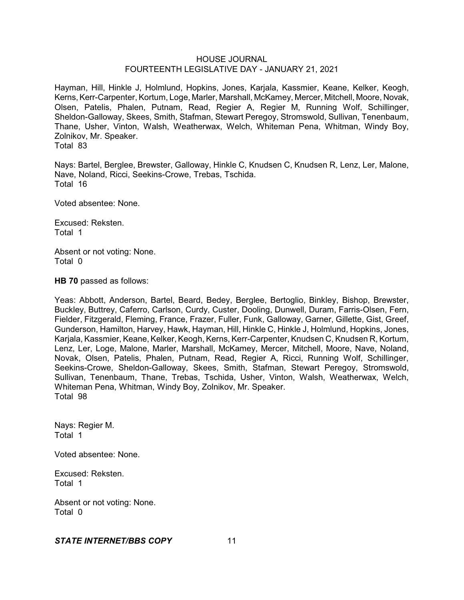Hayman, Hill, Hinkle J, Holmlund, Hopkins, Jones, Karjala, Kassmier, Keane, Kelker, Keogh, Kerns, Kerr-Carpenter, Kortum, Loge, Marler, Marshall, McKamey, Mercer, Mitchell, Moore, Novak, Olsen, Patelis, Phalen, Putnam, Read, Regier A, Regier M, Running Wolf, Schillinger, Sheldon-Galloway, Skees, Smith, Stafman, Stewart Peregoy, Stromswold, Sullivan, Tenenbaum, Thane, Usher, Vinton, Walsh, Weatherwax, Welch, Whiteman Pena, Whitman, Windy Boy, Zolnikov, Mr. Speaker. Total 83

Nays: Bartel, Berglee, Brewster, Galloway, Hinkle C, Knudsen C, Knudsen R, Lenz, Ler, Malone, Nave, Noland, Ricci, Seekins-Crowe, Trebas, Tschida. Total 16

Voted absentee: None.

Excused: Reksten. Total 1

Absent or not voting: None. Total 0

**HB 70** passed as follows:

Yeas: Abbott, Anderson, Bartel, Beard, Bedey, Berglee, Bertoglio, Binkley, Bishop, Brewster, Buckley, Buttrey, Caferro, Carlson, Curdy, Custer, Dooling, Dunwell, Duram, Farris-Olsen, Fern, Fielder, Fitzgerald, Fleming, France, Frazer, Fuller, Funk, Galloway, Garner, Gillette, Gist, Greef, Gunderson, Hamilton, Harvey, Hawk, Hayman, Hill, Hinkle C, Hinkle J, Holmlund, Hopkins, Jones, Karjala, Kassmier, Keane, Kelker, Keogh, Kerns, Kerr-Carpenter, Knudsen C, Knudsen R, Kortum, Lenz, Ler, Loge, Malone, Marler, Marshall, McKamey, Mercer, Mitchell, Moore, Nave, Noland, Novak, Olsen, Patelis, Phalen, Putnam, Read, Regier A, Ricci, Running Wolf, Schillinger, Seekins-Crowe, Sheldon-Galloway, Skees, Smith, Stafman, Stewart Peregoy, Stromswold, Sullivan, Tenenbaum, Thane, Trebas, Tschida, Usher, Vinton, Walsh, Weatherwax, Welch, Whiteman Pena, Whitman, Windy Boy, Zolnikov, Mr. Speaker. Total 98

Nays: Regier M. Total 1

Voted absentee: None.

Excused: Reksten. Total 1

Absent or not voting: None. Total 0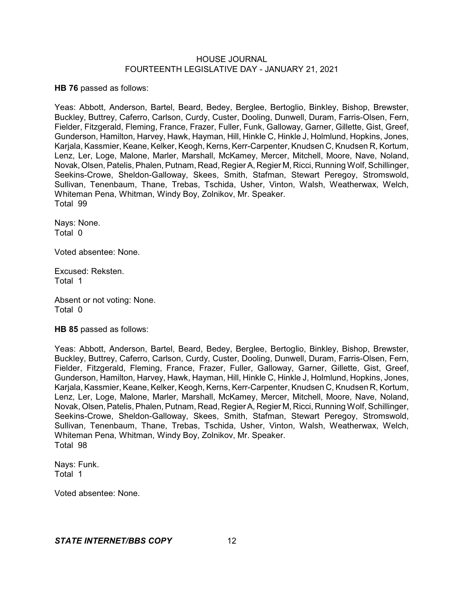**HB 76** passed as follows:

Yeas: Abbott, Anderson, Bartel, Beard, Bedey, Berglee, Bertoglio, Binkley, Bishop, Brewster, Buckley, Buttrey, Caferro, Carlson, Curdy, Custer, Dooling, Dunwell, Duram, Farris-Olsen, Fern, Fielder, Fitzgerald, Fleming, France, Frazer, Fuller, Funk, Galloway, Garner, Gillette, Gist, Greef, Gunderson, Hamilton, Harvey, Hawk, Hayman, Hill, Hinkle C, Hinkle J, Holmlund, Hopkins, Jones, Karjala, Kassmier, Keane, Kelker, Keogh, Kerns, Kerr-Carpenter, Knudsen C, Knudsen R, Kortum, Lenz, Ler, Loge, Malone, Marler, Marshall, McKamey, Mercer, Mitchell, Moore, Nave, Noland, Novak, Olsen, Patelis, Phalen, Putnam, Read, RegierA, Regier M, Ricci, Running Wolf, Schillinger, Seekins-Crowe, Sheldon-Galloway, Skees, Smith, Stafman, Stewart Peregoy, Stromswold, Sullivan, Tenenbaum, Thane, Trebas, Tschida, Usher, Vinton, Walsh, Weatherwax, Welch, Whiteman Pena, Whitman, Windy Boy, Zolnikov, Mr. Speaker. Total 99

Nays: None. Total 0

Voted absentee: None.

Excused: Reksten. Total 1

Absent or not voting: None. Total 0

**HB 85** passed as follows:

Yeas: Abbott, Anderson, Bartel, Beard, Bedey, Berglee, Bertoglio, Binkley, Bishop, Brewster, Buckley, Buttrey, Caferro, Carlson, Curdy, Custer, Dooling, Dunwell, Duram, Farris-Olsen, Fern, Fielder, Fitzgerald, Fleming, France, Frazer, Fuller, Galloway, Garner, Gillette, Gist, Greef, Gunderson, Hamilton, Harvey, Hawk, Hayman, Hill, Hinkle C, Hinkle J, Holmlund, Hopkins, Jones, Karjala, Kassmier, Keane, Kelker, Keogh, Kerns, Kerr-Carpenter, Knudsen C, Knudsen R, Kortum, Lenz, Ler, Loge, Malone, Marler, Marshall, McKamey, Mercer, Mitchell, Moore, Nave, Noland, Novak, Olsen,Patelis, Phalen, Putnam, Read, RegierA, Regier M, Ricci, Running Wolf, Schillinger, Seekins-Crowe, Sheldon-Galloway, Skees, Smith, Stafman, Stewart Peregoy, Stromswold, Sullivan, Tenenbaum, Thane, Trebas, Tschida, Usher, Vinton, Walsh, Weatherwax, Welch, Whiteman Pena, Whitman, Windy Boy, Zolnikov, Mr. Speaker. Total 98

Nays: Funk. Total 1

Voted absentee: None.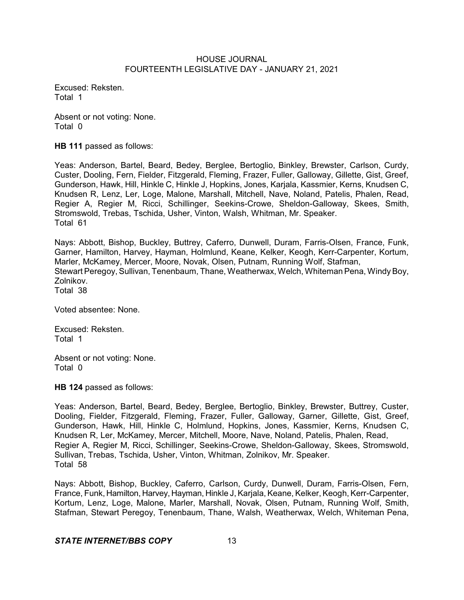Excused: Reksten. Total 1

Absent or not voting: None. Total 0

**HB 111** passed as follows:

Yeas: Anderson, Bartel, Beard, Bedey, Berglee, Bertoglio, Binkley, Brewster, Carlson, Curdy, Custer, Dooling, Fern, Fielder, Fitzgerald, Fleming, Frazer, Fuller, Galloway, Gillette, Gist, Greef, Gunderson, Hawk, Hill, Hinkle C, Hinkle J, Hopkins, Jones, Karjala, Kassmier, Kerns, Knudsen C, Knudsen R, Lenz, Ler, Loge, Malone, Marshall, Mitchell, Nave, Noland, Patelis, Phalen, Read, Regier A, Regier M, Ricci, Schillinger, Seekins-Crowe, Sheldon-Galloway, Skees, Smith, Stromswold, Trebas, Tschida, Usher, Vinton, Walsh, Whitman, Mr. Speaker. Total 61

Nays: Abbott, Bishop, Buckley, Buttrey, Caferro, Dunwell, Duram, Farris-Olsen, France, Funk, Garner, Hamilton, Harvey, Hayman, Holmlund, Keane, Kelker, Keogh, Kerr-Carpenter, Kortum, Marler, McKamey, Mercer, Moore, Novak, Olsen, Putnam, Running Wolf, Stafman, Stewart Peregoy, Sullivan, Tenenbaum, Thane, Weatherwax, Welch, Whiteman Pena, WindyBoy, Zolnikov. Total 38

Voted absentee: None.

Excused: Reksten. Total 1

Absent or not voting: None. Total 0

**HB 124** passed as follows:

Yeas: Anderson, Bartel, Beard, Bedey, Berglee, Bertoglio, Binkley, Brewster, Buttrey, Custer, Dooling, Fielder, Fitzgerald, Fleming, Frazer, Fuller, Galloway, Garner, Gillette, Gist, Greef, Gunderson, Hawk, Hill, Hinkle C, Holmlund, Hopkins, Jones, Kassmier, Kerns, Knudsen C, Knudsen R, Ler, McKamey, Mercer, Mitchell, Moore, Nave, Noland, Patelis, Phalen, Read, Regier A, Regier M, Ricci, Schillinger, Seekins-Crowe, Sheldon-Galloway, Skees, Stromswold, Sullivan, Trebas, Tschida, Usher, Vinton, Whitman, Zolnikov, Mr. Speaker. Total 58

Nays: Abbott, Bishop, Buckley, Caferro, Carlson, Curdy, Dunwell, Duram, Farris-Olsen, Fern, France, Funk, Hamilton, Harvey, Hayman, Hinkle J, Karjala, Keane, Kelker, Keogh, Kerr-Carpenter, Kortum, Lenz, Loge, Malone, Marler, Marshall, Novak, Olsen, Putnam, Running Wolf, Smith, Stafman, Stewart Peregoy, Tenenbaum, Thane, Walsh, Weatherwax, Welch, Whiteman Pena,